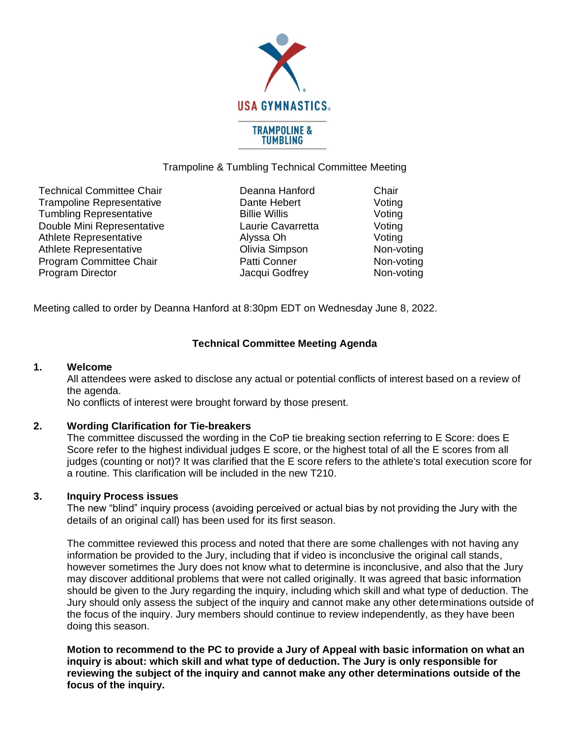

## Trampoline & Tumbling Technical Committee Meeting

Technical Committee Chair **Deanna Hanford** Chair Trampoline Representative **Dante Hebert** Voting Tumbling Representative Tumbling Representative Billie Willis Noting Double Mini Representative Laurie Cavarretta Voting Athlete Representative **Alyssa Oh** Alyssa Oh Voting Athlete Representative **Contact Contact Contact Contact Contact Contact Athlete Representative Contact Contact Contact Contact Contact Contact Contact Contact Contact Contact Contact Contact Contact Contact Contact Contact** Program Committee Chair **Patti Conner** Program Non-voting Program Director **No. 2018** Jacqui Godfrey Non-voting

Meeting called to order by Deanna Hanford at 8:30pm EDT on Wednesday June 8, 2022.

# **Technical Committee Meeting Agenda**

### **1. Welcome**

All attendees were asked to disclose any actual or potential conflicts of interest based on a review of the agenda.

No conflicts of interest were brought forward by those present.

## **2. Wording Clarification for Tie-breakers**

The committee discussed the wording in the CoP tie breaking section referring to E Score: does E Score refer to the highest individual judges E score, or the highest total of all the E scores from all judges (counting or not)? It was clarified that the E score refers to the athlete's total execution score for a routine. This clarification will be included in the new T210.

## **3. Inquiry Process issues**

The new "blind" inquiry process (avoiding perceived or actual bias by not providing the Jury with the details of an original call) has been used for its first season.

The committee reviewed this process and noted that there are some challenges with not having any information be provided to the Jury, including that if video is inconclusive the original call stands, however sometimes the Jury does not know what to determine is inconclusive, and also that the Jury may discover additional problems that were not called originally. It was agreed that basic information should be given to the Jury regarding the inquiry, including which skill and what type of deduction. The Jury should only assess the subject of the inquiry and cannot make any other determinations outside of the focus of the inquiry. Jury members should continue to review independently, as they have been doing this season.

**Motion to recommend to the PC to provide a Jury of Appeal with basic information on what an inquiry is about: which skill and what type of deduction. The Jury is only responsible for reviewing the subject of the inquiry and cannot make any other determinations outside of the focus of the inquiry.**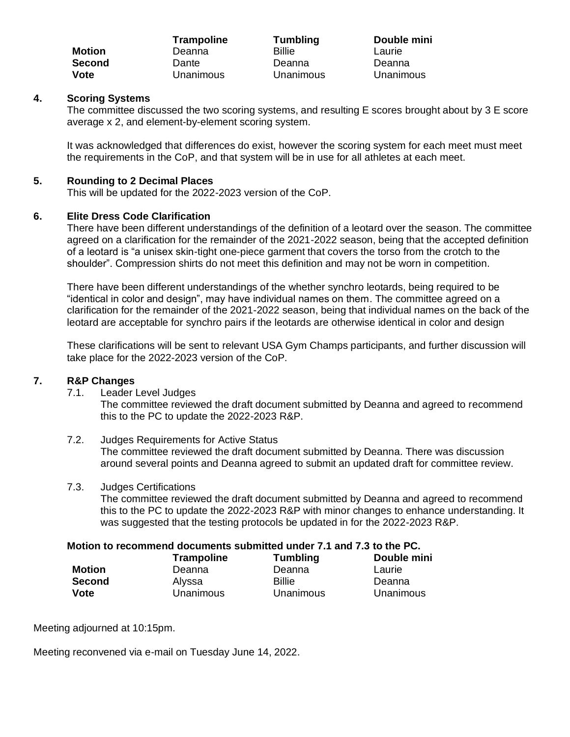|               | <b>Trampoline</b> | <b>Tumbling</b> | Double mini |
|---------------|-------------------|-----------------|-------------|
| <b>Motion</b> | Deanna            | <b>Billie</b>   | Laurie      |
| <b>Second</b> | Dante             | Deanna          | Deanna      |
| <b>Vote</b>   | Unanimous         | Unanimous       | Unanimous   |

## **4. Scoring Systems**

The committee discussed the two scoring systems, and resulting E scores brought about by 3 E score average x 2, and element-by-element scoring system.

It was acknowledged that differences do exist, however the scoring system for each meet must meet the requirements in the CoP, and that system will be in use for all athletes at each meet.

### **5. Rounding to 2 Decimal Places**

This will be updated for the 2022-2023 version of the CoP.

## **6. Elite Dress Code Clarification**

There have been different understandings of the definition of a leotard over the season. The committee agreed on a clarification for the remainder of the 2021-2022 season, being that the accepted definition of a leotard is "a unisex skin-tight one-piece garment that covers the torso from the crotch to the shoulder". Compression shirts do not meet this definition and may not be worn in competition.

There have been different understandings of the whether synchro leotards, being required to be "identical in color and design", may have individual names on them. The committee agreed on a clarification for the remainder of the 2021-2022 season, being that individual names on the back of the leotard are acceptable for synchro pairs if the leotards are otherwise identical in color and design

These clarifications will be sent to relevant USA Gym Champs participants, and further discussion will take place for the 2022-2023 version of the CoP.

### **7. R&P Changes**

7.1. Leader Level Judges

The committee reviewed the draft document submitted by Deanna and agreed to recommend this to the PC to update the 2022-2023 R&P.

7.2. Judges Requirements for Active Status The committee reviewed the draft document submitted by Deanna. There was discussion around several points and Deanna agreed to submit an updated draft for committee review.

### 7.3. Judges Certifications

The committee reviewed the draft document submitted by Deanna and agreed to recommend this to the PC to update the 2022-2023 R&P with minor changes to enhance understanding. It was suggested that the testing protocols be updated in for the 2022-2023 R&P.

## **Motion to recommend documents submitted under 7.1 and 7.3 to the PC.**

|               | <b>Trampoline</b> | <b>Tumbling</b> | Double mini |
|---------------|-------------------|-----------------|-------------|
| Motion        | Deanna            | Deanna          | Laurie      |
| <b>Second</b> | Alvssa            | Billie          | Deanna      |
| Vote          | Unanimous         | Unanimous       | Unanimous   |

Meeting adjourned at 10:15pm.

Meeting reconvened via e-mail on Tuesday June 14, 2022.